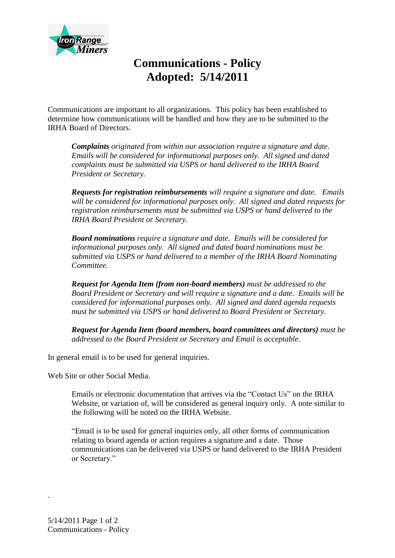

## **Communications - Policy Adopted: 5/14/2011**

Communications are important to all organizations. This policy has been established to determine how communications will be handled and how they are to be submitted to the IRHA Board of Directors.

*Complaints originated from within our association require a signature and date. Emails will be considered for informational purposes only. All signed and dated complaints must be submitted via USPS or hand delivered to the IRHA Board President or Secretary.*

*Requests for registration reimbursements will require a signature and date. Emails will be considered for informational purposes only. All signed and dated requests for registration reimbursements must be submitted via USPS or hand delivered to the IRHA Board President or Secretary.*

*Board nominations require a signature and date. Emails will be considered for informational purposes only. All signed and dated board nominations must be submitted via USPS or hand delivered to a member of the IRHA Board Nominating Committee.*

*Request for Agenda Item (from non-board members) must be addressed to the Board President or Secretary and will require a signature and a date. Emails will be considered for informational purposes only. All signed and dated agenda requests must be submitted via USPS or hand delivered to Board President or Secretary.*

*Request for Agenda Item (board members, board committees and directors) must be addressed to the Board President or Secretary and Email is acceptable.* 

In general email is to be used for general inquiries.

Web Site or other Social Media.

Emails or electronic documentation that arrives via the "Contact Us" on the IRHA Website, or variation of, will be considered as general inquiry only. A note similar to the following will be noted on the IRHA Website.

"Email is to be used for general inquiries only, all other forms of communication relating to board agenda or action requires a signature and a date. Those communications can be delivered via USPS or hand delivered to the IRHA President or Secretary."

.